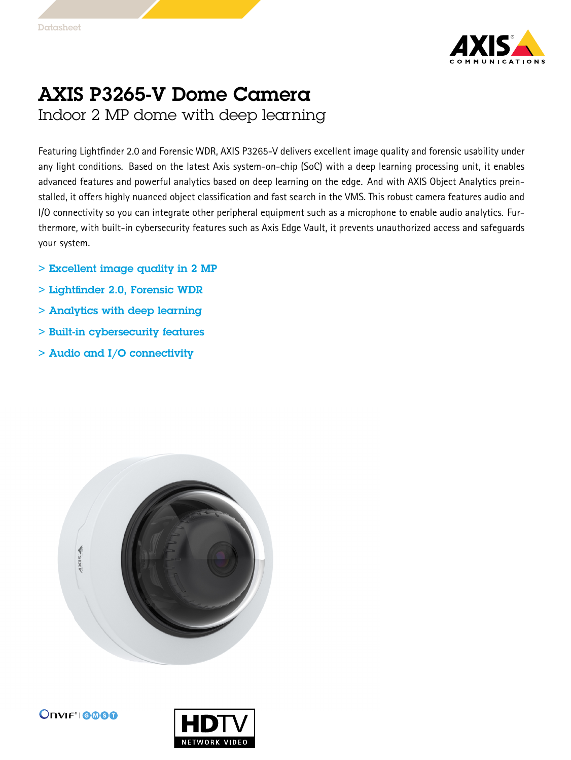

## AXIS P3265-V Dome Camera Indoor 2 MP dome with deep learning

Featuring Lightfinder 2.0 and Forensic WDR, AXIS P3265-V delivers excellent image quality and forensic usability under any light conditions. Based on the latest Axis system-on-chip (SoC) with <sup>a</sup> deep learning processing unit, it enables advanced features and powerful analytics based on deep learning on the edge. And with AXIS Object Analytics preinstalled, it offers highly nuanced object classification and fast search in the VMS. This robust camera features audio and I/O connectivity so you can integrate other peripheral equipment such as <sup>a</sup> microphone to enable audio analytics. Furthermore, with built-in cybersecurity features such as Axis Edge Vault, it prevents unauthorized access and safeguards your system.

- > Excellent image quality in 2 MP
- > Lightfinder 2.0, Forensic WDR
- > Analytics with deep learning
- > Built-in cybersecurity features
- > Audio and I/O connectivity



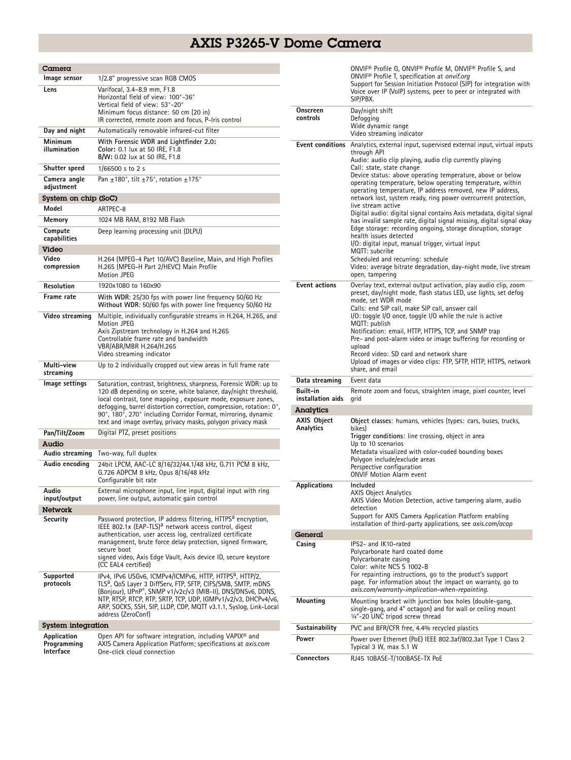## AXIS P3265-V Dome Camera

| Camera                                  |                                                                                                                                                                                                                                                                                                                                                                                                           |  |
|-----------------------------------------|-----------------------------------------------------------------------------------------------------------------------------------------------------------------------------------------------------------------------------------------------------------------------------------------------------------------------------------------------------------------------------------------------------------|--|
| Image sensor                            | 1/2.8" progressive scan RGB CMOS                                                                                                                                                                                                                                                                                                                                                                          |  |
| Lens                                    | Varifocal, 3.4-8.9 mm, F1.8<br>Horizontal field of view: 100°-36°<br>Vertical field of view: 53°-20°<br>Minimum focus distance: 50 cm (20 in)<br>IR corrected, remote zoom and focus, P-Iris control                                                                                                                                                                                                      |  |
| Day and night                           | Automatically removable infrared-cut filter                                                                                                                                                                                                                                                                                                                                                               |  |
| Minimum<br>illumination                 | With Forensic WDR and Lightfinder 2.0:<br>Color: 0.1 lux at 50 IRE, F1.8                                                                                                                                                                                                                                                                                                                                  |  |
|                                         | B/W: 0.02 lux at 50 IRE, F1.8                                                                                                                                                                                                                                                                                                                                                                             |  |
| Shutter speed                           | 1/66500 s to 2 s                                                                                                                                                                                                                                                                                                                                                                                          |  |
| Camera angle<br>adjustment              | Pan +180°, tilt +75°, rotation +175°                                                                                                                                                                                                                                                                                                                                                                      |  |
| System on chip (SoC)                    |                                                                                                                                                                                                                                                                                                                                                                                                           |  |
| Model                                   | ARTPEC-8                                                                                                                                                                                                                                                                                                                                                                                                  |  |
| Memory                                  | 1024 MB RAM, 8192 MB Flash                                                                                                                                                                                                                                                                                                                                                                                |  |
| Compute<br>capabilities                 | Deep learning processing unit (DLPU)                                                                                                                                                                                                                                                                                                                                                                      |  |
| Video                                   |                                                                                                                                                                                                                                                                                                                                                                                                           |  |
| Video<br>compression                    | H.264 (MPEG-4 Part 10/AVC) Baseline, Main, and High Profiles<br>H.265 (MPEG-H Part 2/HEVC) Main Profile<br><b>Motion JPEG</b>                                                                                                                                                                                                                                                                             |  |
| Resolution                              | 1920x1080 to 160x90                                                                                                                                                                                                                                                                                                                                                                                       |  |
| Frame rate                              | With WDR: 25/30 fps with power line frequency 50/60 Hz<br>Without WDR: 50/60 fps with power line frequency 50/60 Hz                                                                                                                                                                                                                                                                                       |  |
| Video streaming                         | Multiple, individually configurable streams in H.264, H.265, and<br>Motion JPEG<br>Axis Zipstream technology in H.264 and H.265<br>Controllable frame rate and bandwidth<br>VBR/ABR/MBR H.264/H.265                                                                                                                                                                                                       |  |
|                                         | Video streaming indicator                                                                                                                                                                                                                                                                                                                                                                                 |  |
| Multi-view<br>streaming                 | Up to 2 individually cropped out view areas in full frame rate                                                                                                                                                                                                                                                                                                                                            |  |
| Image settings                          | Saturation, contrast, brightness, sharpness, Forensic WDR: up to<br>120 dB depending on scene, white balance, day/night threshold,<br>local contrast, tone mapping, exposure mode, exposure zones,<br>defogging, barrel distortion correction, compression, rotation: 0°,<br>90°, 180°, 270° including Corridor Format, mirroring, dynamic<br>text and image overlay, privacy masks, polygon privacy mask |  |
| Pan/Tilt/Zoom                           | Digital PTZ, preset positions                                                                                                                                                                                                                                                                                                                                                                             |  |
| Audio                                   |                                                                                                                                                                                                                                                                                                                                                                                                           |  |
| Audio streaming                         | Two-way, full duplex                                                                                                                                                                                                                                                                                                                                                                                      |  |
| Audio encoding                          | 24bit LPCM, AAC-LC 8/16/32/44.1/48 kHz, G.711 PCM 8 kHz,<br>G.726 ADPCM 8 kHz, Opus 8/16/48 kHz<br>Configurable bit rate                                                                                                                                                                                                                                                                                  |  |
| Audio<br>input/output                   | External microphone input, line input, digital input with ring<br>power, line output, automatic gain control                                                                                                                                                                                                                                                                                              |  |
| <b>Network</b>                          |                                                                                                                                                                                                                                                                                                                                                                                                           |  |
| Security                                | Password protection, IP address filtering, HTTPS <sup>a</sup> encryption,<br>IEEE 802.1x (EAP-TLS) <sup>a</sup> network access control, digest<br>authentication, user access log, centralized certificate<br>management, brute force delay protection, signed firmware,<br>secure boot<br>signed video, Axis Edge Vault, Axis device ID, secure keystore<br>(CC EAL4 certified)                          |  |
| Supported<br>protocols                  | IPv4, IPv6 USGv6, ICMPv4/ICMPv6, HTTP, HTTPS <sup>a</sup> , HTTP/2,<br>TLSª, QoS Layer 3 DiffServ, FTP, SFTP, CIFS/SMB, SMTP, mDNS<br>(Bonjour), UPnP®, SNMP v1/v2c/v3 (MIB-II), DNS/DNSv6, DDNS,<br>NTP, RTSP, RTCP, RTP, SRTP, TCP, UDP, IGMPv1/v2/v3, DHCPv4/v6,<br>ARP, SOCKS, SSH, SIP, LLDP, CDP, MQTT v3.1.1, Syslog, Link-Local<br>address (ZeroConf)                                             |  |
| System integration                      |                                                                                                                                                                                                                                                                                                                                                                                                           |  |
| Application<br>Programming<br>Interface | Open API for software integration, including VAPIX® and<br>AXIS Camera Application Platform; specifications at <i>axis.com</i><br>One-click cloud connection                                                                                                                                                                                                                                              |  |

|                                          | ONVIF® Profile G, ONVIF® Profile M, ONVIF® Profile S, and<br>ONVIF <sup>®</sup> Profile T, specification at onvif.org<br>Support for Session Initiation Protocol (SIP) for integration with<br>Voice over IP (VoIP) systems, peer to peer or integrated with<br>SIP/PBX.                                                                                                                                                                                                                                                                                                                                                                                                                                                                                                                                                                                                                                                                                                                                                                        |
|------------------------------------------|-------------------------------------------------------------------------------------------------------------------------------------------------------------------------------------------------------------------------------------------------------------------------------------------------------------------------------------------------------------------------------------------------------------------------------------------------------------------------------------------------------------------------------------------------------------------------------------------------------------------------------------------------------------------------------------------------------------------------------------------------------------------------------------------------------------------------------------------------------------------------------------------------------------------------------------------------------------------------------------------------------------------------------------------------|
| Onscreen<br>controls                     | Day/night shift<br>Defogging<br>Wide dynamic range<br>Video streaming indicator                                                                                                                                                                                                                                                                                                                                                                                                                                                                                                                                                                                                                                                                                                                                                                                                                                                                                                                                                                 |
| Event conditions<br><b>Event actions</b> | Analytics, external input, supervised external input, virtual inputs<br>through API<br>Audio: audio clip playing, audio clip currently playing<br>Call: state, state change<br>Device status: above operating temperature, above or below<br>operating temperature, below operating temperature, within<br>operating temperature, IP address removed, new IP address,<br>network lost, system ready, ring power overcurrent protection,<br>live stream active<br>Digital audio: digital signal contains Axis metadata, digital signal<br>has invalid sample rate, digital signal missing, digital signal okay<br>Edge storage: recording ongoing, storage disruption, storage<br>health issues detected<br>I/O: digital input, manual trigger, virtual input<br>MQTT: subcribe<br>Scheduled and recurring: schedule<br>Video: average bitrate degradation, day-night mode, live stream<br>open, tampering<br>Overlay text, external output activation, play audio clip, zoom<br>preset, day/night mode, flash status LED, use lights, set defog |
|                                          | mode, set WDR mode<br>Calls: end SIP call, make SIP call, answer call<br>$1/O$ : toggle $1/O$ once, toggle $1/O$ while the rule is active<br>MQTT: publish<br>Notification: email, HTTP, HTTPS, TCP, and SNMP trap<br>Pre- and post-alarm video or image buffering for recording or<br>upload<br>Record video: SD card and network share<br>Upload of images or video clips: FTP, SFTP, HTTP, HTTPS, network<br>share, and email                                                                                                                                                                                                                                                                                                                                                                                                                                                                                                                                                                                                                |
| Data streaming                           | Event data                                                                                                                                                                                                                                                                                                                                                                                                                                                                                                                                                                                                                                                                                                                                                                                                                                                                                                                                                                                                                                      |
| Built-in<br>installation aids            | Remote zoom and focus, straighten image, pixel counter, level                                                                                                                                                                                                                                                                                                                                                                                                                                                                                                                                                                                                                                                                                                                                                                                                                                                                                                                                                                                   |
|                                          | grid                                                                                                                                                                                                                                                                                                                                                                                                                                                                                                                                                                                                                                                                                                                                                                                                                                                                                                                                                                                                                                            |
| Analytics                                |                                                                                                                                                                                                                                                                                                                                                                                                                                                                                                                                                                                                                                                                                                                                                                                                                                                                                                                                                                                                                                                 |
| <b>AXIS Object</b><br>Analytics          | Object classes: humans, vehicles (types: cars, buses, trucks,<br>bikes)<br>Trigger conditions: line crossing, object in area<br>Up to 10 scenarios<br>Metadata visualized with color-coded bounding boxes<br>Polygon include/exclude areas<br>Perspective configuration<br><b>ONVIF Motion Alarm event</b>                                                                                                                                                                                                                                                                                                                                                                                                                                                                                                                                                                                                                                                                                                                                      |
| Applications                             | Included<br>AXIS Object Analytics<br>AXIS Video Motion Detection, active tampering alarm, audio<br>detection<br>Support for AXIS Camera Application Platform enabling<br>installation of third-party applications, see <i>axis.com/acap</i>                                                                                                                                                                                                                                                                                                                                                                                                                                                                                                                                                                                                                                                                                                                                                                                                     |
| General                                  |                                                                                                                                                                                                                                                                                                                                                                                                                                                                                                                                                                                                                                                                                                                                                                                                                                                                                                                                                                                                                                                 |
| Casing                                   | IP52- and IK10-rated<br>Polycarbonate hard coated dome<br>Polycarbonate casing<br>Color: white NCS S 1002-B<br>For repainting instructions, go to the product's support<br>page. For information about the impact on warranty, go to<br>axis.com/warranty-implication-when-repainting.                                                                                                                                                                                                                                                                                                                                                                                                                                                                                                                                                                                                                                                                                                                                                          |
| Mounting                                 | Mounting bracket with junction box holes (double-gang,<br>single-gang, and 4" octagon) and for wall or ceiling mount<br>1/4"-20 UNC tripod screw thread                                                                                                                                                                                                                                                                                                                                                                                                                                                                                                                                                                                                                                                                                                                                                                                                                                                                                         |
| Sustainability                           | PVC and BFR/CFR free, 4.4% recycled plastics                                                                                                                                                                                                                                                                                                                                                                                                                                                                                                                                                                                                                                                                                                                                                                                                                                                                                                                                                                                                    |
| Power                                    | Power over Ethernet (PoE) IEEE 802.3af/802.3at Type 1 Class 2<br>Typical 3 W, max 5.1 W                                                                                                                                                                                                                                                                                                                                                                                                                                                                                                                                                                                                                                                                                                                                                                                                                                                                                                                                                         |